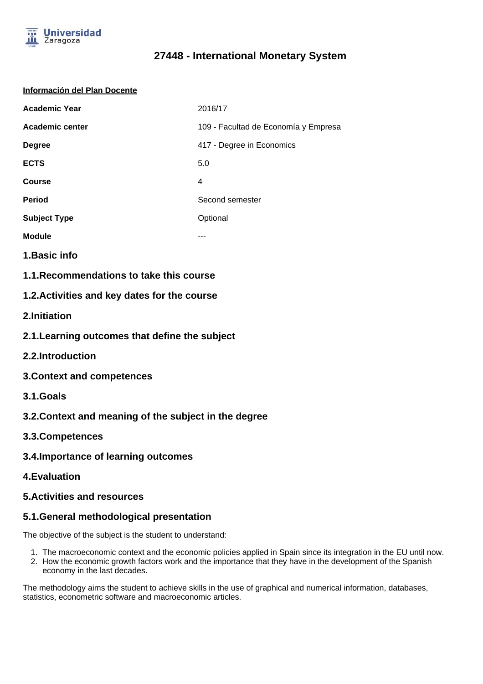

# **27448 - International Monetary System**

#### **Información del Plan Docente**

| <b>Academic Year</b> | 2016/17                              |
|----------------------|--------------------------------------|
| Academic center      | 109 - Facultad de Economía y Empresa |
| <b>Degree</b>        | 417 - Degree in Economics            |
| <b>ECTS</b>          | 5.0                                  |
| <b>Course</b>        | 4                                    |
| <b>Period</b>        | Second semester                      |
| <b>Subject Type</b>  | Optional                             |
| <b>Module</b>        |                                      |

- **1.Basic info**
- **1.1.Recommendations to take this course**

#### **1.2.Activities and key dates for the course**

- **2.Initiation**
- **2.1.Learning outcomes that define the subject**
- **2.2.Introduction**
- **3.Context and competences**
- **3.1.Goals**
- **3.2.Context and meaning of the subject in the degree**
- **3.3.Competences**
- **3.4.Importance of learning outcomes**
- **4.Evaluation**

#### **5.Activities and resources**

### **5.1.General methodological presentation**

The objective of the subject is the student to understand:

- 1. The macroeconomic context and the economic policies applied in Spain since its integration in the EU until now.
- 2. How the economic growth factors work and the importance that they have in the development of the Spanish economy in the last decades.

The methodology aims the student to achieve skills in the use of graphical and numerical information, databases, statistics, econometric software and macroeconomic articles.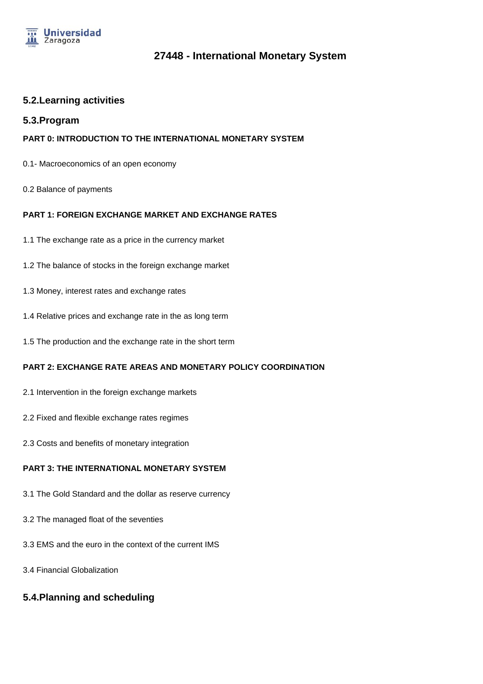

### **27448 - International Monetary System**

#### **5.2.Learning activities**

#### **5.3.Program**

#### **PART 0: INTRODUCTION TO THE INTERNATIONAL MONETARY SYSTEM**

- 0.1- Macroeconomics of an open economy
- 0.2 Balance of payments

#### **PART 1: FOREIGN EXCHANGE MARKET AND EXCHANGE RATES**

- 1.1 The exchange rate as a price in the currency market
- 1.2 The balance of stocks in the foreign exchange market
- 1.3 Money, interest rates and exchange rates
- 1.4 Relative prices and exchange rate in the as long term
- 1.5 The production and the exchange rate in the short term

#### **PART 2: EXCHANGE RATE AREAS AND MONETARY POLICY COORDINATION**

- 2.1 Intervention in the foreign exchange markets
- 2.2 Fixed and flexible exchange rates regimes
- 2.3 Costs and benefits of monetary integration

#### **PART 3: THE INTERNATIONAL MONETARY SYSTEM**

- 3.1 The Gold Standard and the dollar as reserve currency
- 3.2 The managed float of the seventies
- 3.3 EMS and the euro in the context of the current IMS
- 3.4 Financial Globalization

## **5.4.Planning and scheduling**